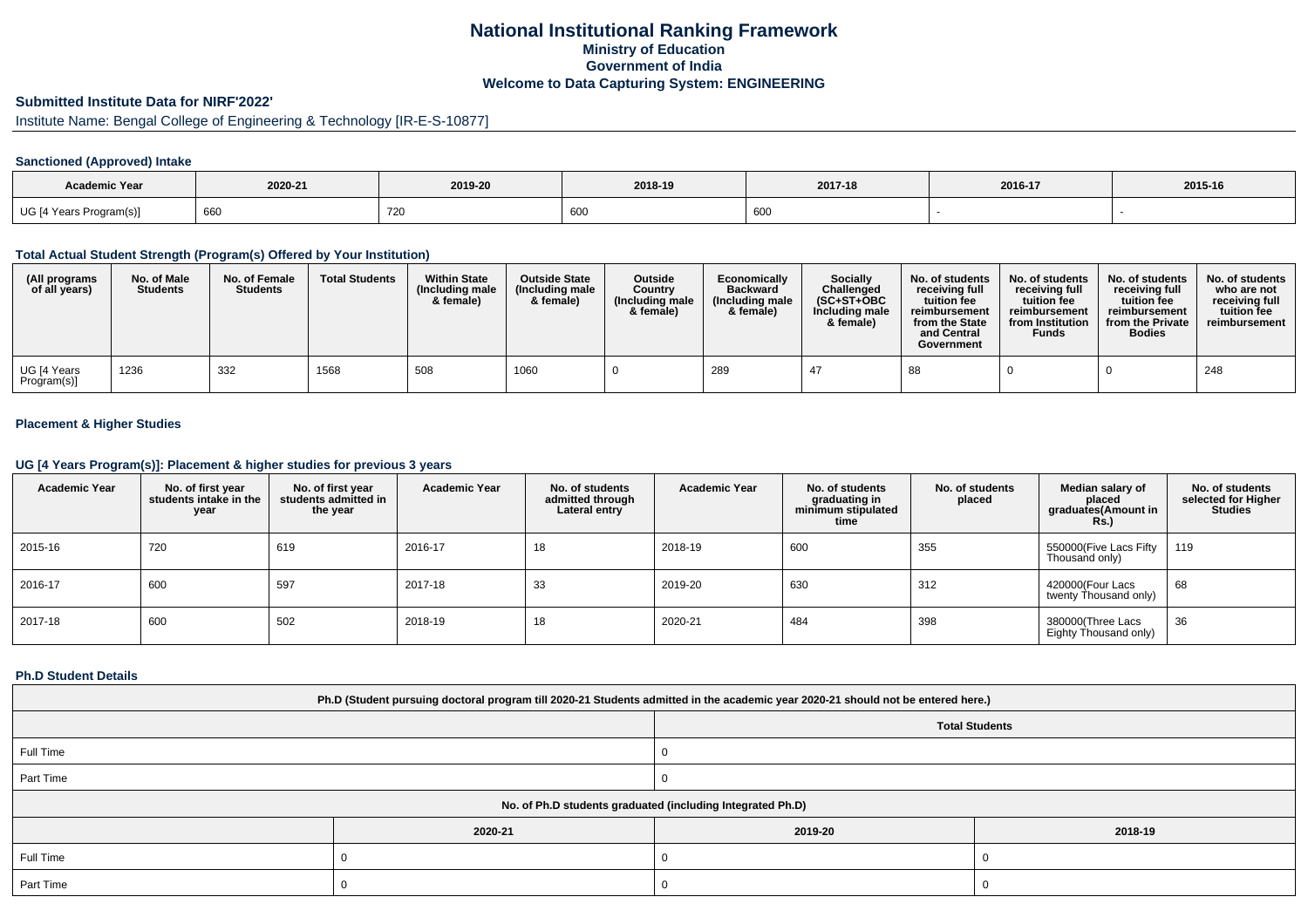# **National Institutional Ranking FrameworkMinistry of Education Government of IndiaWelcome to Data Capturing System: ENGINEERING**

# **Submitted Institute Data for NIRF'2022'**

# Institute Name: Bengal College of Engineering & Technology [IR-E-S-10877]

## **Sanctioned (Approved) Intake**

| <b>Academic Year</b>    | 2020-21 | 2019-20 | 2018-19       | 2017-18<br>2016-17 |  | 2015-16 |
|-------------------------|---------|---------|---------------|--------------------|--|---------|
| UG [4 Years Program(s)] | 660     | 720     | $\sim$<br>ouc | 600                |  |         |

#### **Total Actual Student Strength (Program(s) Offered by Your Institution)**

| (All programs<br>of all years) | No. of Male<br><b>Students</b> | No. of Female<br><b>Students</b> | <b>Total Students</b> | <b>Within State</b><br>(Including male<br>& female) | <b>Outside State</b><br>(Including male<br>& female) | Outside<br>Country<br>(Including male)<br>& female) | Economically<br><b>Backward</b><br>(Including male)<br>& female) | <b>Socially</b><br>Challenged<br>$(SC+ST+OBC)$<br>Including male<br>& female) | No. of students<br>receivina full<br>tuition fee<br>reimbursement<br>from the State<br>and Central<br>Government | No. of students<br>receiving full<br>tuition fee<br>reimbursement<br>from Institution<br><b>Funds</b> | No. of students<br>receiving full<br>tuition fee<br>reimbursement<br>from the Private<br><b>Bodies</b> | No. of students<br>who are not<br>receivina full<br>tuition fee<br>reimbursement |
|--------------------------------|--------------------------------|----------------------------------|-----------------------|-----------------------------------------------------|------------------------------------------------------|-----------------------------------------------------|------------------------------------------------------------------|-------------------------------------------------------------------------------|------------------------------------------------------------------------------------------------------------------|-------------------------------------------------------------------------------------------------------|--------------------------------------------------------------------------------------------------------|----------------------------------------------------------------------------------|
| UG [4 Years<br>Program(s)]     | 1236                           | 332                              | 1568                  | 508                                                 | 1060                                                 |                                                     | 289                                                              | -47                                                                           | 88                                                                                                               |                                                                                                       |                                                                                                        | 248                                                                              |

## **Placement & Higher Studies**

#### **UG [4 Years Program(s)]: Placement & higher studies for previous 3 years**

| <b>Academic Year</b> | No. of first year<br>students intake in the<br>year | No. of first vear<br>students admitted in<br>the year | <b>Academic Year</b> | No. of students<br>admitted through<br>Lateral entry | <b>Academic Year</b> | No. of students<br>graduating in<br>minimum stipulated<br>time | No. of students<br>placed | Median salary of<br>placed<br>graduates(Amount in<br><b>Rs.</b> ) | No. of students<br>selected for Higher<br><b>Studies</b> |
|----------------------|-----------------------------------------------------|-------------------------------------------------------|----------------------|------------------------------------------------------|----------------------|----------------------------------------------------------------|---------------------------|-------------------------------------------------------------------|----------------------------------------------------------|
| 2015-16              | 720                                                 | 619                                                   | 2016-17              | 18                                                   | 2018-19              | 600                                                            | 355                       | 550000(Five Lacs Fifty<br>Thousand only)                          | 119                                                      |
| 2016-17              | 600                                                 | 597                                                   | 2017-18              | 33                                                   | 2019-20              | 630                                                            | 312                       | 420000(Four Lacs<br>twenty Thousand only)                         | 68                                                       |
| 2017-18              | 600                                                 | 502                                                   | 2018-19              | 18                                                   | 2020-21              | 484                                                            | 398                       | 380000(Three Lacs<br>Eighty Thousand only)                        | 36                                                       |

#### **Ph.D Student Details**

| Ph.D (Student pursuing doctoral program till 2020-21 Students admitted in the academic year 2020-21 should not be entered here.) |         |                       |         |  |  |  |  |  |
|----------------------------------------------------------------------------------------------------------------------------------|---------|-----------------------|---------|--|--|--|--|--|
|                                                                                                                                  |         | <b>Total Students</b> |         |  |  |  |  |  |
| Full Time                                                                                                                        |         |                       |         |  |  |  |  |  |
| Part Time                                                                                                                        |         |                       |         |  |  |  |  |  |
| No. of Ph.D students graduated (including Integrated Ph.D)                                                                       |         |                       |         |  |  |  |  |  |
|                                                                                                                                  | 2020-21 | 2019-20               | 2018-19 |  |  |  |  |  |
| Full Time                                                                                                                        |         |                       |         |  |  |  |  |  |
| Part Time                                                                                                                        |         |                       |         |  |  |  |  |  |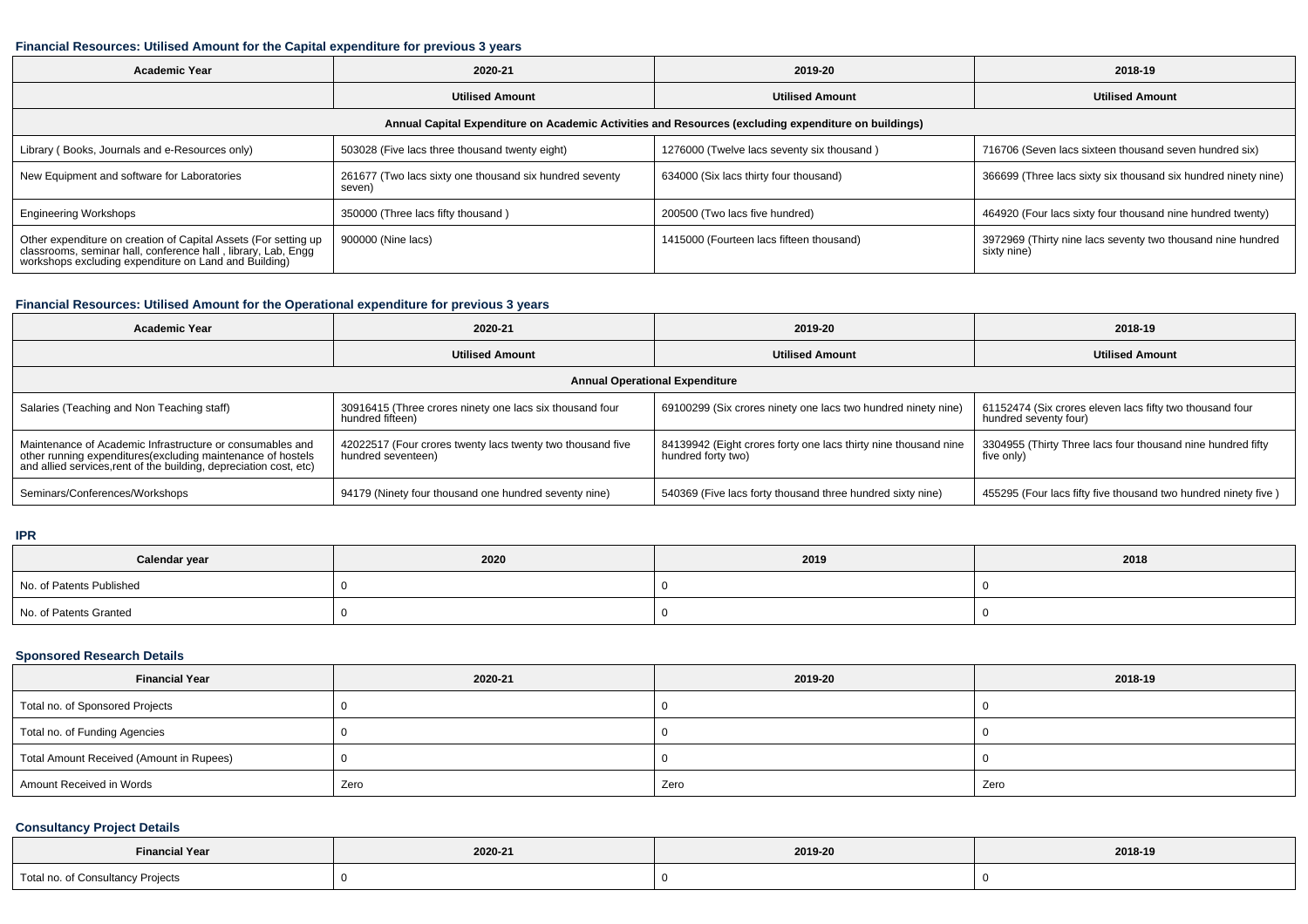## **Financial Resources: Utilised Amount for the Capital expenditure for previous 3 years**

| Academic Year                                                                                                                                                                       | 2020-21                                                           | 2019-20                                    | 2018-19                                                                    |  |  |  |  |  |  |
|-------------------------------------------------------------------------------------------------------------------------------------------------------------------------------------|-------------------------------------------------------------------|--------------------------------------------|----------------------------------------------------------------------------|--|--|--|--|--|--|
|                                                                                                                                                                                     | <b>Utilised Amount</b>                                            | <b>Utilised Amount</b>                     | <b>Utilised Amount</b>                                                     |  |  |  |  |  |  |
| Annual Capital Expenditure on Academic Activities and Resources (excluding expenditure on buildings)                                                                                |                                                                   |                                            |                                                                            |  |  |  |  |  |  |
| Library (Books, Journals and e-Resources only)                                                                                                                                      | 503028 (Five lacs three thousand twenty eight)                    | 1276000 (Twelve lacs seventy six thousand) | 716706 (Seven lacs sixteen thousand seven hundred six)                     |  |  |  |  |  |  |
| New Equipment and software for Laboratories                                                                                                                                         | 261677 (Two lacs sixty one thousand six hundred seventy<br>seven) | 634000 (Six lacs thirty four thousand)     | 366699 (Three lacs sixty six thousand six hundred ninety nine)             |  |  |  |  |  |  |
| <b>Engineering Workshops</b>                                                                                                                                                        | 350000 (Three lacs fifty thousand)                                | 200500 (Two lacs five hundred)             | 464920 (Four lacs sixty four thousand nine hundred twenty)                 |  |  |  |  |  |  |
| Other expenditure on creation of Capital Assets (For setting up classrooms, seminar hall, conference hall, library, Lab, Engg workshops excluding expenditure on Land and Building) | 900000 (Nine lacs)                                                | 1415000 (Fourteen lacs fifteen thousand)   | 3972969 (Thirty nine lacs seventy two thousand nine hundred<br>sixty nine) |  |  |  |  |  |  |

## **Financial Resources: Utilised Amount for the Operational expenditure for previous 3 years**

| <b>Academic Year</b>                                                                                                                                                                            | 2020-21                                                                          | 2019-20                                                                               | 2018-19                                                                           |  |  |  |  |  |
|-------------------------------------------------------------------------------------------------------------------------------------------------------------------------------------------------|----------------------------------------------------------------------------------|---------------------------------------------------------------------------------------|-----------------------------------------------------------------------------------|--|--|--|--|--|
|                                                                                                                                                                                                 | <b>Utilised Amount</b><br><b>Utilised Amount</b>                                 |                                                                                       | <b>Utilised Amount</b>                                                            |  |  |  |  |  |
| <b>Annual Operational Expenditure</b>                                                                                                                                                           |                                                                                  |                                                                                       |                                                                                   |  |  |  |  |  |
| Salaries (Teaching and Non Teaching staff)                                                                                                                                                      | 30916415 (Three crores ninety one lacs six thousand four<br>hundred fifteen)     | 69100299 (Six crores ninety one lacs two hundred ninety nine)                         | 61152474 (Six crores eleven lacs fifty two thousand four<br>hundred seventy four) |  |  |  |  |  |
| Maintenance of Academic Infrastructure or consumables and<br>other running expenditures (excluding maintenance of hostels<br>and allied services, rent of the building, depreciation cost, etc) | 42022517 (Four crores twenty lacs twenty two thousand five<br>hundred seventeen) | 84139942 (Eight crores forty one lacs thirty nine thousand nine<br>hundred forty two) | 3304955 (Thirty Three lacs four thousand nine hundred fifty<br>five only)         |  |  |  |  |  |
| Seminars/Conferences/Workshops                                                                                                                                                                  | 94179 (Ninety four thousand one hundred seventy nine)                            | 540369 (Five lacs forty thousand three hundred sixty nine)                            | 455295 (Four lacs fifty five thousand two hundred ninety five)                    |  |  |  |  |  |

#### **IPR**

| Calendar year            | 2020 | 2019 | 2018 |
|--------------------------|------|------|------|
| No. of Patents Published |      |      |      |
| No. of Patents Granted   |      |      |      |

## **Sponsored Research Details**

| <b>Financial Year</b>                    | 2020-21 | 2019-20 | 2018-19 |
|------------------------------------------|---------|---------|---------|
| Total no. of Sponsored Projects          |         |         |         |
| Total no. of Funding Agencies            |         |         |         |
| Total Amount Received (Amount in Rupees) |         |         |         |
| Amount Received in Words                 | Zero    | Zero    | Zero    |

# **Consultancy Project Details**

| <b>Financial Year</b>                  | 2020-21 | 2019-20 | 2018-19 |
|----------------------------------------|---------|---------|---------|
| Total no. of Consultancy Projects<br>. |         |         |         |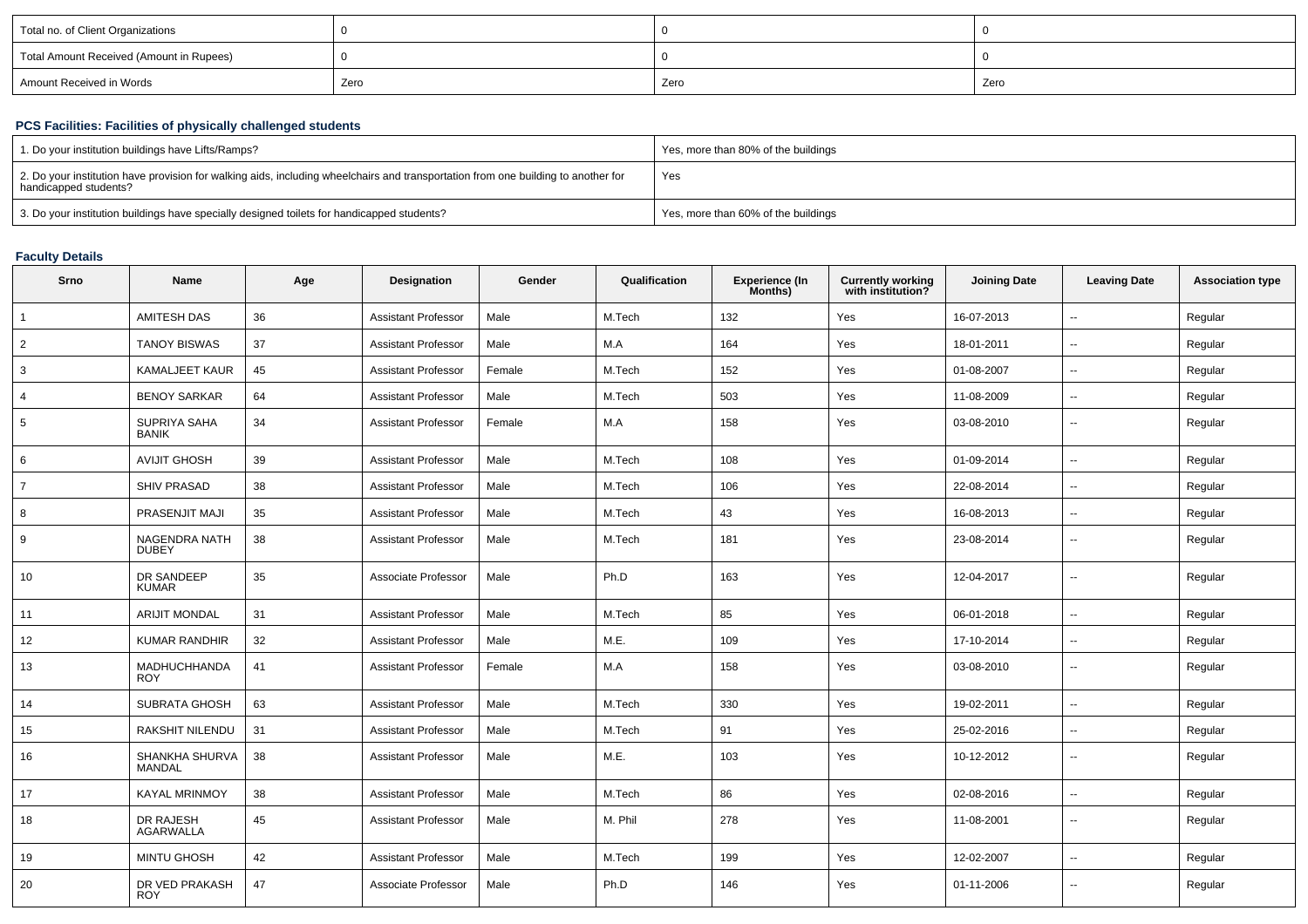| Total no. of Client Organizations        |      |      |      |
|------------------------------------------|------|------|------|
| Total Amount Received (Amount in Rupees) |      |      |      |
| Amount Received in Words                 | Zero | Zero | Zero |

# **PCS Facilities: Facilities of physically challenged students**

| 1. Do your institution buildings have Lifts/Ramps?                                                                                                         | Yes, more than 80% of the buildings |
|------------------------------------------------------------------------------------------------------------------------------------------------------------|-------------------------------------|
| 2. Do your institution have provision for walking aids, including wheelchairs and transportation from one building to another for<br>handicapped students? | Yes                                 |
| 3. Do your institution buildings have specially designed toilets for handicapped students?                                                                 | Yes, more than 60% of the buildings |

## **Faculty Details**

| Srno           | Name                          | Age | <b>Designation</b>         | Gender | Qualification | <b>Experience (In</b><br>Months) | <b>Currently working</b><br>with institution? | <b>Joining Date</b> | <b>Leaving Date</b>      | <b>Association type</b> |
|----------------|-------------------------------|-----|----------------------------|--------|---------------|----------------------------------|-----------------------------------------------|---------------------|--------------------------|-------------------------|
| $\mathbf{1}$   | <b>AMITESH DAS</b>            | 36  | <b>Assistant Professor</b> | Male   | M.Tech        | 132                              | Yes                                           | 16-07-2013          | $\sim$                   | Regular                 |
| 2              | <b>TANOY BISWAS</b>           | 37  | <b>Assistant Professor</b> | Male   | M.A           | 164                              | Yes                                           | 18-01-2011          | $\overline{a}$           | Regular                 |
| 3              | <b>KAMALJEET KAUR</b>         | 45  | <b>Assistant Professor</b> | Female | M.Tech        | 152                              | Yes                                           | 01-08-2007          | $\overline{\phantom{a}}$ | Regular                 |
|                | <b>BENOY SARKAR</b>           | 64  | <b>Assistant Professor</b> | Male   | M.Tech        | 503                              | Yes                                           | 11-08-2009          | $\sim$                   | Regular                 |
| 5              | SUPRIYA SAHA<br><b>BANIK</b>  | 34  | <b>Assistant Professor</b> | Female | M.A           | 158                              | Yes                                           | 03-08-2010          | $\overline{\phantom{a}}$ | Regular                 |
| 6              | <b>AVIJIT GHOSH</b>           | 39  | <b>Assistant Professor</b> | Male   | M.Tech        | 108                              | Yes                                           | 01-09-2014          | $\overline{\phantom{a}}$ | Regular                 |
| $\overline{7}$ | <b>SHIV PRASAD</b>            | 38  | <b>Assistant Professor</b> | Male   | M.Tech        | 106                              | Yes                                           | 22-08-2014          | $\overline{\phantom{a}}$ | Regular                 |
| 8              | <b>PRASENJIT MAJI</b>         | 35  | <b>Assistant Professor</b> | Male   | M.Tech        | 43                               | Yes                                           | 16-08-2013          | $\overline{\phantom{a}}$ | Regular                 |
| 9              | NAGENDRA NATH<br><b>DUBEY</b> | 38  | <b>Assistant Professor</b> | Male   | M.Tech        | 181                              | Yes                                           | 23-08-2014          | $\overline{a}$           | Regular                 |
| 10             | DR SANDEEP<br><b>KUMAR</b>    | 35  | Associate Professor        | Male   | Ph.D          | 163                              | Yes                                           | 12-04-2017          | $\overline{\phantom{a}}$ | Regular                 |
| 11             | <b>ARIJIT MONDAL</b>          | 31  | <b>Assistant Professor</b> | Male   | M.Tech        | 85                               | Yes                                           | 06-01-2018          | $\overline{a}$           | Regular                 |
| 12             | <b>KUMAR RANDHIR</b>          | 32  | <b>Assistant Professor</b> | Male   | M.E.          | 109                              | Yes                                           | 17-10-2014          | $\overline{\phantom{a}}$ | Regular                 |
| 13             | MADHUCHHANDA<br><b>ROY</b>    | 41  | <b>Assistant Professor</b> | Female | M.A           | 158                              | Yes                                           | 03-08-2010          | $\overline{a}$           | Regular                 |
| 14             | SUBRATA GHOSH                 | 63  | <b>Assistant Professor</b> | Male   | M.Tech        | 330                              | Yes                                           | 19-02-2011          | $\overline{\phantom{a}}$ | Regular                 |
| 15             | RAKSHIT NILENDU               | 31  | <b>Assistant Professor</b> | Male   | M.Tech        | 91                               | Yes                                           | 25-02-2016          | $\overline{\phantom{a}}$ | Regular                 |
| 16             | SHANKHA SHURVA<br>MANDAL      | 38  | <b>Assistant Professor</b> | Male   | M.E.          | 103                              | Yes                                           | 10-12-2012          | $\sim$                   | Regular                 |
| 17             | <b>KAYAL MRINMOY</b>          | 38  | <b>Assistant Professor</b> | Male   | M.Tech        | 86                               | Yes                                           | 02-08-2016          | Ξ.                       | Regular                 |
| 18             | DR RAJESH<br><b>AGARWALLA</b> | 45  | <b>Assistant Professor</b> | Male   | M. Phil       | 278                              | Yes                                           | 11-08-2001          | $\sim$                   | Regular                 |
| 19             | <b>MINTU GHOSH</b>            | 42  | <b>Assistant Professor</b> | Male   | M.Tech        | 199                              | Yes                                           | 12-02-2007          | $\overline{a}$           | Regular                 |
| 20             | DR VED PRAKASH<br><b>ROY</b>  | 47  | Associate Professor        | Male   | Ph.D          | 146                              | Yes                                           | 01-11-2006          | $\overline{a}$           | Regular                 |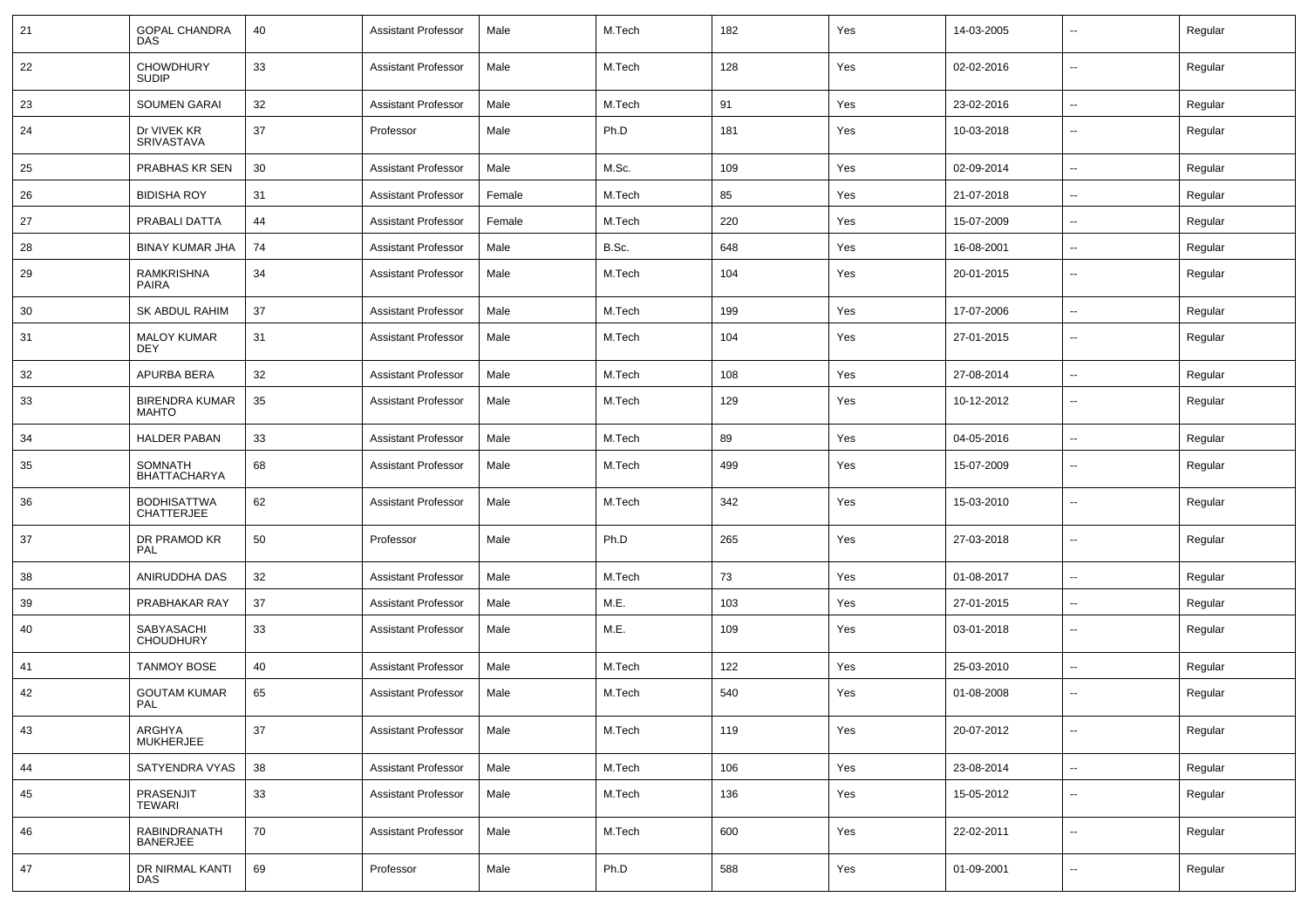| 21 | <b>GOPAL CHANDRA</b><br><b>DAS</b>      | 40 | <b>Assistant Professor</b> | Male   | M.Tech | 182 | Yes | 14-03-2005 | $\sim$                   | Regular |
|----|-----------------------------------------|----|----------------------------|--------|--------|-----|-----|------------|--------------------------|---------|
| 22 | <b>CHOWDHURY</b><br><b>SUDIP</b>        | 33 | <b>Assistant Professor</b> | Male   | M.Tech | 128 | Yes | 02-02-2016 | $\sim$                   | Regular |
| 23 | <b>SOUMEN GARAI</b>                     | 32 | <b>Assistant Professor</b> | Male   | M.Tech | 91  | Yes | 23-02-2016 | $\sim$                   | Regular |
| 24 | Dr VIVEK KR<br><b>SRIVASTAVA</b>        | 37 | Professor                  | Male   | Ph.D   | 181 | Yes | 10-03-2018 | --                       | Regular |
| 25 | PRABHAS KR SEN                          | 30 | <b>Assistant Professor</b> | Male   | M.Sc.  | 109 | Yes | 02-09-2014 | $\overline{\phantom{a}}$ | Regular |
| 26 | <b>BIDISHA ROY</b>                      | 31 | <b>Assistant Professor</b> | Female | M.Tech | 85  | Yes | 21-07-2018 | $\overline{\phantom{a}}$ | Regular |
| 27 | PRABALI DATTA                           | 44 | <b>Assistant Professor</b> | Female | M.Tech | 220 | Yes | 15-07-2009 | $\overline{\phantom{a}}$ | Regular |
| 28 | <b>BINAY KUMAR JHA</b>                  | 74 | <b>Assistant Professor</b> | Male   | B.Sc.  | 648 | Yes | 16-08-2001 | --                       | Regular |
| 29 | <b>RAMKRISHNA</b><br><b>PAIRA</b>       | 34 | <b>Assistant Professor</b> | Male   | M.Tech | 104 | Yes | 20-01-2015 | $\overline{\phantom{a}}$ | Regular |
| 30 | <b>SK ABDUL RAHIM</b>                   | 37 | <b>Assistant Professor</b> | Male   | M.Tech | 199 | Yes | 17-07-2006 | $\overline{\phantom{a}}$ | Regular |
| 31 | <b>MALOY KUMAR</b><br><b>DEY</b>        | 31 | <b>Assistant Professor</b> | Male   | M.Tech | 104 | Yes | 27-01-2015 | $\overline{\phantom{a}}$ | Regular |
| 32 | APURBA BERA                             | 32 | <b>Assistant Professor</b> | Male   | M.Tech | 108 | Yes | 27-08-2014 | --                       | Regular |
| 33 | <b>BIRENDRA KUMAR</b><br><b>MAHTO</b>   | 35 | <b>Assistant Professor</b> | Male   | M.Tech | 129 | Yes | 10-12-2012 | $\overline{\phantom{a}}$ | Regular |
| 34 | <b>HALDER PABAN</b>                     | 33 | <b>Assistant Professor</b> | Male   | M.Tech | 89  | Yes | 04-05-2016 | $\overline{\phantom{a}}$ | Regular |
| 35 | SOMNATH<br><b>BHATTACHARYA</b>          | 68 | <b>Assistant Professor</b> | Male   | M.Tech | 499 | Yes | 15-07-2009 | $\overline{a}$           | Regular |
| 36 | <b>BODHISATTWA</b><br><b>CHATTERJEE</b> | 62 | <b>Assistant Professor</b> | Male   | M.Tech | 342 | Yes | 15-03-2010 | $\overline{\phantom{a}}$ | Regular |
| 37 | DR PRAMOD KR<br>PAL                     | 50 | Professor                  | Male   | Ph.D   | 265 | Yes | 27-03-2018 | $\overline{\phantom{a}}$ | Regular |
| 38 | ANIRUDDHA DAS                           | 32 | <b>Assistant Professor</b> | Male   | M.Tech | 73  | Yes | 01-08-2017 | $\sim$                   | Regular |
| 39 | PRABHAKAR RAY                           | 37 | <b>Assistant Professor</b> | Male   | M.E.   | 103 | Yes | 27-01-2015 | --                       | Regular |
| 40 | SABYASACHI<br><b>CHOUDHURY</b>          | 33 | <b>Assistant Professor</b> | Male   | M.E.   | 109 | Yes | 03-01-2018 | --                       | Regular |
| 41 | <b>TANMOY BOSE</b>                      | 40 | <b>Assistant Professor</b> | Male   | M.Tech | 122 | Yes | 25-03-2010 | --                       | Regular |
| 42 | <b>GOUTAM KUMAR</b><br>PAL              | 65 | <b>Assistant Professor</b> | Male   | M.Tech | 540 | Yes | 01-08-2008 | $\sim$                   | Regular |
| 43 | ARGHYA<br><b>MUKHERJEE</b>              | 37 | <b>Assistant Professor</b> | Male   | M.Tech | 119 | Yes | 20-07-2012 | $\sim$                   | Regular |
| 44 | SATYENDRA VYAS                          | 38 | <b>Assistant Professor</b> | Male   | M.Tech | 106 | Yes | 23-08-2014 | $\sim$                   | Regular |
| 45 | PRASENJIT<br>TEWARI                     | 33 | <b>Assistant Professor</b> | Male   | M.Tech | 136 | Yes | 15-05-2012 | $\sim$                   | Regular |
| 46 | RABINDRANATH<br><b>BANERJEE</b>         | 70 | <b>Assistant Professor</b> | Male   | M.Tech | 600 | Yes | 22-02-2011 | $\sim$                   | Regular |
| 47 | DR NIRMAL KANTI<br>DAS                  | 69 | Professor                  | Male   | Ph.D   | 588 | Yes | 01-09-2001 | $\overline{\phantom{a}}$ | Regular |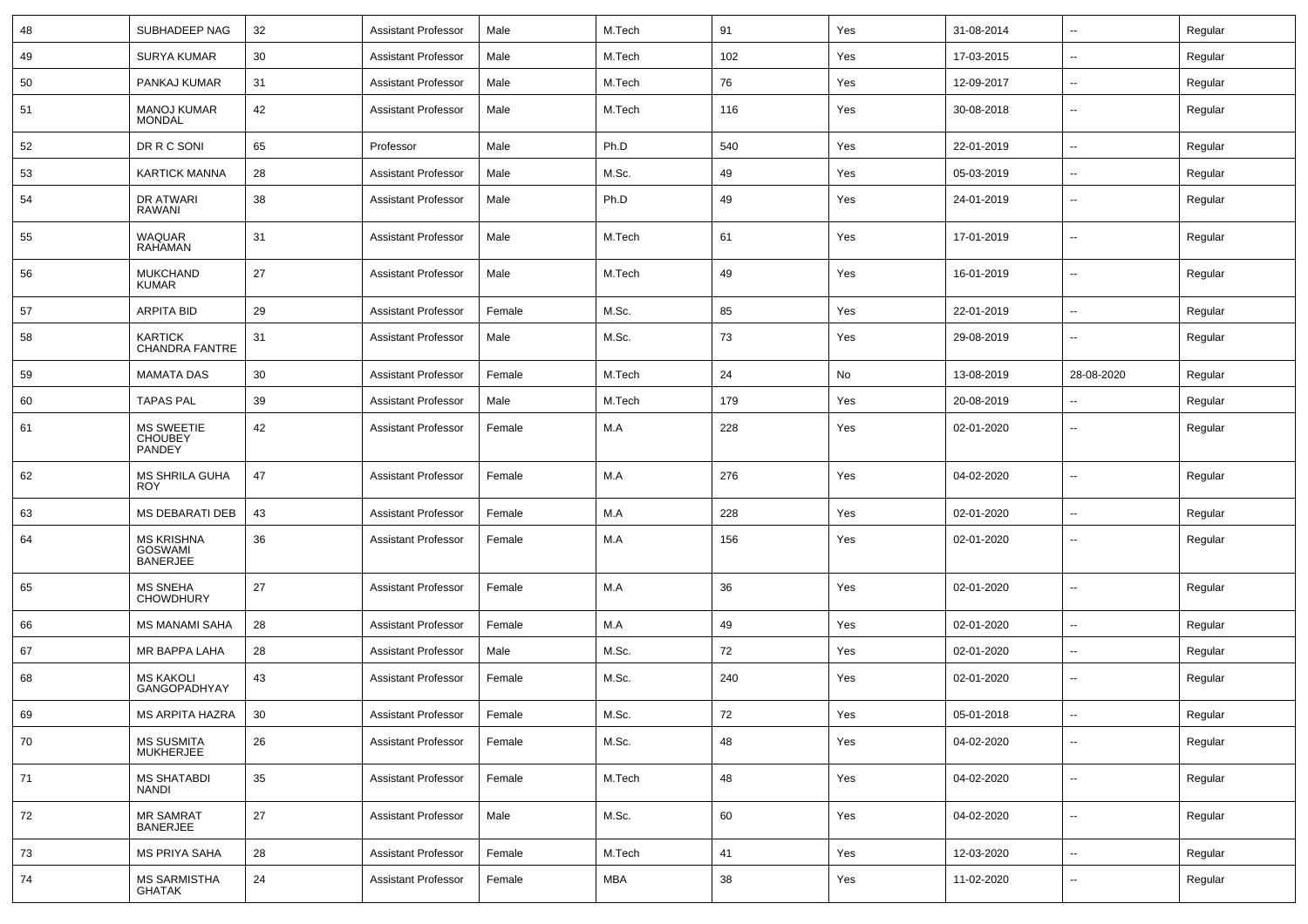| 48 | SUBHADEEP NAG                                 | 32     | <b>Assistant Professor</b> | Male   | M.Tech | 91  | Yes | 31-08-2014 | $\mathbf{u}$             | Regular |
|----|-----------------------------------------------|--------|----------------------------|--------|--------|-----|-----|------------|--------------------------|---------|
| 49 | <b>SURYA KUMAR</b>                            | 30     | <b>Assistant Professor</b> | Male   | M.Tech | 102 | Yes | 17-03-2015 | $\sim$                   | Regular |
| 50 | PANKAJ KUMAR                                  | 31     | <b>Assistant Professor</b> | Male   | M.Tech | 76  | Yes | 12-09-2017 | $\mathbf{u}$             | Regular |
| 51 | <b>MANOJ KUMAR</b><br><b>MONDAL</b>           | 42     | <b>Assistant Professor</b> | Male   | M.Tech | 116 | Yes | 30-08-2018 | $\overline{\phantom{a}}$ | Regular |
| 52 | DR R C SONI                                   | 65     | Professor                  | Male   | Ph.D   | 540 | Yes | 22-01-2019 | $\overline{\phantom{a}}$ | Regular |
| 53 | <b>KARTICK MANNA</b>                          | 28     | <b>Assistant Professor</b> | Male   | M.Sc.  | 49  | Yes | 05-03-2019 | $\overline{\phantom{a}}$ | Regular |
| 54 | DR ATWARI<br>RAWANI                           | 38     | <b>Assistant Professor</b> | Male   | Ph.D   | 49  | Yes | 24-01-2019 | $\mathbf{u}$             | Regular |
| 55 | <b>WAQUAR</b><br><b>RAHAMAN</b>               | 31     | <b>Assistant Professor</b> | Male   | M.Tech | 61  | Yes | 17-01-2019 | $\mathbf{u}$             | Regular |
| 56 | <b>MUKCHAND</b><br><b>KUMAR</b>               | 27     | <b>Assistant Professor</b> | Male   | M.Tech | 49  | Yes | 16-01-2019 | $\sim$                   | Regular |
| 57 | <b>ARPITA BID</b>                             | 29     | <b>Assistant Professor</b> | Female | M.Sc.  | 85  | Yes | 22-01-2019 | $\mathbf{u}$             | Regular |
| 58 | <b>KARTICK</b><br><b>CHANDRA FANTRE</b>       | 31     | <b>Assistant Professor</b> | Male   | M.Sc.  | 73  | Yes | 29-08-2019 | $\overline{\phantom{a}}$ | Regular |
| 59 | <b>MAMATA DAS</b>                             | 30     | <b>Assistant Professor</b> | Female | M.Tech | 24  | No  | 13-08-2019 | 28-08-2020               | Regular |
| 60 | <b>TAPAS PAL</b>                              | 39     | <b>Assistant Professor</b> | Male   | M.Tech | 179 | Yes | 20-08-2019 | $\overline{\phantom{a}}$ | Regular |
| 61 | MS SWEETIE<br><b>CHOUBEY</b><br><b>PANDEY</b> | 42     | Assistant Professor        | Female | M.A    | 228 | Yes | 02-01-2020 | --                       | Regular |
| 62 | MS SHRILA GUHA<br><b>ROY</b>                  | 47     | Assistant Professor        | Female | M.A    | 276 | Yes | 04-02-2020 | $\mathbf{u}$             | Regular |
| 63 | <b>MS DEBARATI DEB</b>                        | 43     | <b>Assistant Professor</b> | Female | M.A    | 228 | Yes | 02-01-2020 | $\sim$                   | Regular |
| 64 | MS KRISHNA<br>GOSWAMI<br><b>BANERJEE</b>      | 36     | Assistant Professor        | Female | M.A    | 156 | Yes | 02-01-2020 | --                       | Regular |
| 65 | <b>MS SNEHA</b><br><b>CHOWDHURY</b>           | 27     | Assistant Professor        | Female | M.A    | 36  | Yes | 02-01-2020 | $\mathbf{u}$             | Regular |
| 66 | <b>MS MANAMI SAHA</b>                         | 28     | <b>Assistant Professor</b> | Female | M.A    | 49  | Yes | 02-01-2020 | $\sim$                   | Regular |
| 67 | MR BAPPA LAHA                                 | 28     | <b>Assistant Professor</b> | Male   | M.Sc.  | 72  | Yes | 02-01-2020 | --                       | Regular |
| 68 | <b>MS KAKOLI</b><br><b>GANGOPADHYAY</b>       | 43     | <b>Assistant Professor</b> | Female | M.Sc.  | 240 | Yes | 02-01-2020 | $\overline{\phantom{a}}$ | Regular |
| 69 | MS ARPITA HAZRA                               | 30     | Assistant Professor        | Female | M.Sc.  | 72  | Yes | 05-01-2018 | --                       | Regular |
| 70 | MS SUSMITA<br>MUKHERJEE                       | 26     | <b>Assistant Professor</b> | Female | M.Sc.  | 48  | Yes | 04-02-2020 | $\sim$                   | Regular |
| 71 | <b>MS SHATABDI</b><br><b>NANDI</b>            | 35     | <b>Assistant Professor</b> | Female | M.Tech | 48  | Yes | 04-02-2020 | $\sim$                   | Regular |
| 72 | MR SAMRAT<br>BANERJEE                         | $27\,$ | <b>Assistant Professor</b> | Male   | M.Sc.  | 60  | Yes | 04-02-2020 | $\overline{\phantom{a}}$ | Regular |
| 73 | MS PRIYA SAHA                                 | 28     | <b>Assistant Professor</b> | Female | M.Tech | 41  | Yes | 12-03-2020 | $\overline{\phantom{a}}$ | Regular |
| 74 | MS SARMISTHA<br>GHATAK                        | 24     | <b>Assistant Professor</b> | Female | MBA    | 38  | Yes | 11-02-2020 | $\mathbf{u}$             | Regular |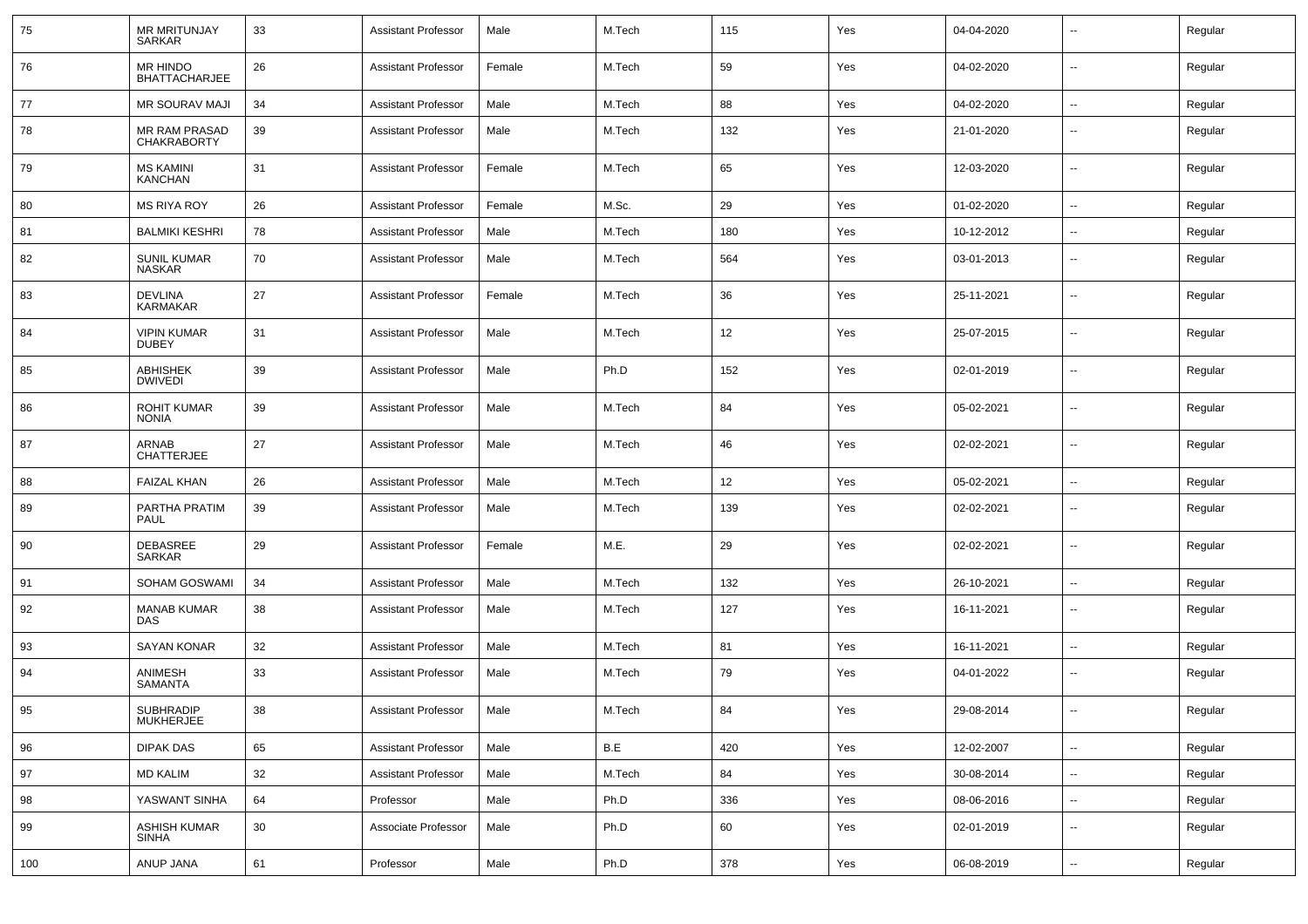| 75  | <b>MR MRITUNJAY</b><br>SARKAR        | 33 | <b>Assistant Professor</b> | Male   | M.Tech | 115 | Yes | 04-04-2020 |                          | Regular |
|-----|--------------------------------------|----|----------------------------|--------|--------|-----|-----|------------|--------------------------|---------|
| 76  | MR HINDO<br><b>BHATTACHARJEE</b>     | 26 | <b>Assistant Professor</b> | Female | M.Tech | 59  | Yes | 04-02-2020 | --                       | Regular |
| 77  | <b>MR SOURAV MAJI</b>                | 34 | <b>Assistant Professor</b> | Male   | M.Tech | 88  | Yes | 04-02-2020 | --                       | Regular |
| 78  | MR RAM PRASAD<br><b>CHAKRABORTY</b>  | 39 | <b>Assistant Professor</b> | Male   | M.Tech | 132 | Yes | 21-01-2020 | --                       | Regular |
| 79  | <b>MS KAMINI</b><br><b>KANCHAN</b>   | 31 | <b>Assistant Professor</b> | Female | M.Tech | 65  | Yes | 12-03-2020 | Ξ.                       | Regular |
| 80  | <b>MS RIYA ROY</b>                   | 26 | <b>Assistant Professor</b> | Female | M.Sc.  | 29  | Yes | 01-02-2020 | Ξ.                       | Regular |
| 81  | <b>BALMIKI KESHRI</b>                | 78 | <b>Assistant Professor</b> | Male   | M.Tech | 180 | Yes | 10-12-2012 | $\overline{\phantom{a}}$ | Regular |
| 82  | <b>SUNIL KUMAR</b><br>NASKAR         | 70 | <b>Assistant Professor</b> | Male   | M.Tech | 564 | Yes | 03-01-2013 | --                       | Regular |
| 83  | <b>DEVLINA</b><br><b>KARMAKAR</b>    | 27 | <b>Assistant Professor</b> | Female | M.Tech | 36  | Yes | 25-11-2021 | --                       | Regular |
| 84  | <b>VIPIN KUMAR</b><br><b>DUBEY</b>   | 31 | <b>Assistant Professor</b> | Male   | M.Tech | 12  | Yes | 25-07-2015 | --                       | Regular |
| 85  | <b>ABHISHEK</b><br><b>DWIVEDI</b>    | 39 | <b>Assistant Professor</b> | Male   | Ph.D   | 152 | Yes | 02-01-2019 | --                       | Regular |
| 86  | ROHIT KUMAR<br><b>NONIA</b>          | 39 | <b>Assistant Professor</b> | Male   | M.Tech | 84  | Yes | 05-02-2021 | --                       | Regular |
| 87  | ARNAB<br><b>CHATTERJEE</b>           | 27 | <b>Assistant Professor</b> | Male   | M.Tech | 46  | Yes | 02-02-2021 | --                       | Regular |
| 88  | <b>FAIZAL KHAN</b>                   | 26 | <b>Assistant Professor</b> | Male   | M.Tech | 12  | Yes | 05-02-2021 | --                       | Regular |
| 89  | PARTHA PRATIM<br>PAUL                | 39 | <b>Assistant Professor</b> | Male   | M.Tech | 139 | Yes | 02-02-2021 | $\sim$                   | Regular |
| 90  | <b>DEBASREE</b><br>SARKAR            | 29 | <b>Assistant Professor</b> | Female | M.E.   | 29  | Yes | 02-02-2021 | $\overline{\phantom{a}}$ | Regular |
| 91  | SOHAM GOSWAMI                        | 34 | <b>Assistant Professor</b> | Male   | M.Tech | 132 | Yes | 26-10-2021 | $\sim$                   | Regular |
| 92  | <b>MANAB KUMAR</b><br><b>DAS</b>     | 38 | <b>Assistant Professor</b> | Male   | M.Tech | 127 | Yes | 16-11-2021 | $\overline{\phantom{a}}$ | Regular |
| 93  | <b>SAYAN KONAR</b>                   | 32 | <b>Assistant Professor</b> | Male   | M.Tech | 81  | Yes | 16-11-2021 | $\sim$                   | Regular |
| 94  | ANIMESH<br><b>SAMANTA</b>            | 33 | <b>Assistant Professor</b> | Male   | M.Tech | 79  | Yes | 04-01-2022 | ۰.                       | Regular |
| 95  | <b>SUBHRADIP</b><br><b>MUKHERJEE</b> | 38 | <b>Assistant Professor</b> | Male   | M.Tech | 84  | Yes | 29-08-2014 | $\sim$                   | Regular |
| 96  | <b>DIPAK DAS</b>                     | 65 | <b>Assistant Professor</b> | Male   | B.E    | 420 | Yes | 12-02-2007 | Ξ.                       | Regular |
| 97  | <b>MD KALIM</b>                      | 32 | <b>Assistant Professor</b> | Male   | M.Tech | 84  | Yes | 30-08-2014 | $\overline{\phantom{a}}$ | Regular |
| 98  | YASWANT SINHA                        | 64 | Professor                  | Male   | Ph.D   | 336 | Yes | 08-06-2016 | $\overline{\phantom{a}}$ | Regular |
| 99  | <b>ASHISH KUMAR</b><br><b>SINHA</b>  | 30 | Associate Professor        | Male   | Ph.D   | 60  | Yes | 02-01-2019 | --                       | Regular |
| 100 | ANUP JANA                            | 61 | Professor                  | Male   | Ph.D   | 378 | Yes | 06-08-2019 | $\overline{\phantom{a}}$ | Regular |